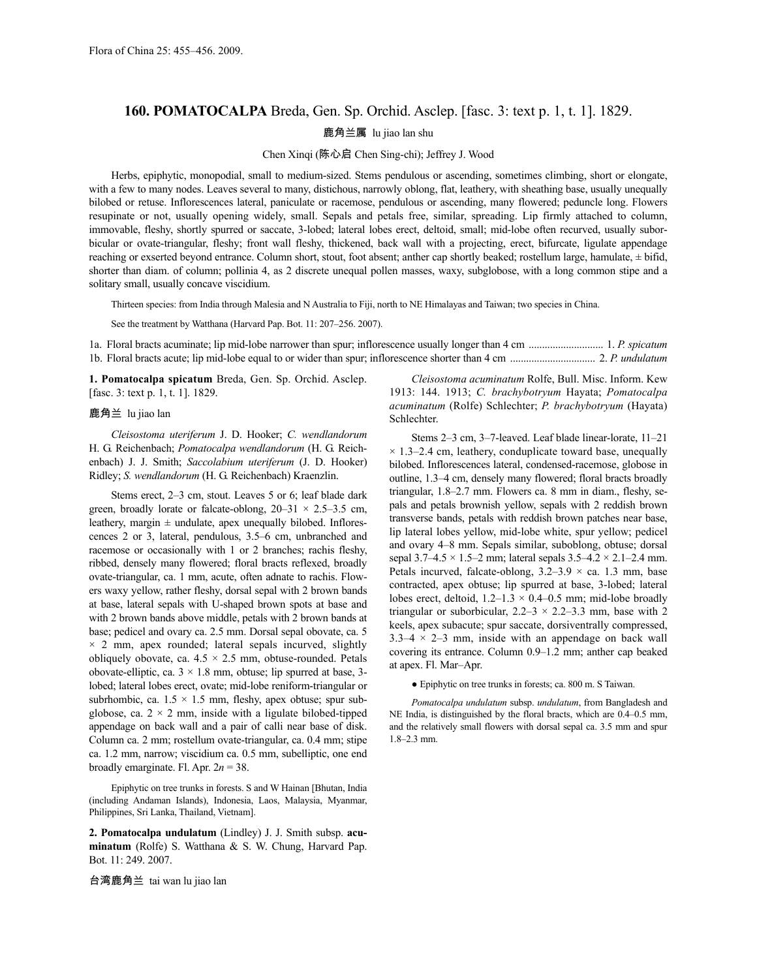## **160. POMATOCALPA** Breda, Gen. Sp. Orchid. Asclep. [fasc. 3: text p. 1, t. 1]. 1829.

鹿角兰属 lu jiao lan shu

Chen Xinqi (陈心启 Chen Sing-chi); Jeffrey J. Wood

Herbs, epiphytic, monopodial, small to medium-sized. Stems pendulous or ascending, sometimes climbing, short or elongate, with a few to many nodes. Leaves several to many, distichous, narrowly oblong, flat, leathery, with sheathing base, usually unequally bilobed or retuse. Inflorescences lateral, paniculate or racemose, pendulous or ascending, many flowered; peduncle long. Flowers resupinate or not, usually opening widely, small. Sepals and petals free, similar, spreading. Lip firmly attached to column, immovable, fleshy, shortly spurred or saccate, 3-lobed; lateral lobes erect, deltoid, small; mid-lobe often recurved, usually suborbicular or ovate-triangular, fleshy; front wall fleshy, thickened, back wall with a projecting, erect, bifurcate, ligulate appendage reaching or exserted beyond entrance. Column short, stout, foot absent; anther cap shortly beaked; rostellum large, hamulate, ± bifid, shorter than diam. of column; pollinia 4, as 2 discrete unequal pollen masses, waxy, subglobose, with a long common stipe and a solitary small, usually concave viscidium.

Thirteen species: from India through Malesia and N Australia to Fiji, north to NE Himalayas and Taiwan; two species in China.

See the treatment by Watthana (Harvard Pap. Bot. 11: 207–256. 2007).

1a. Floral bracts acuminate; lip mid-lobe narrower than spur; inflorescence usually longer than 4 cm ............................ 1. *P. spicatum* 1b. Floral bracts acute; lip mid-lobe equal to or wider than spur; inflorescence shorter than 4 cm ................................ 2. *P. undulatum*

**1. Pomatocalpa spicatum** Breda, Gen. Sp. Orchid. Asclep. [fasc. 3: text p. 1, t. 1]. 1829.

## 鹿角兰 lu jiao lan

*Cleisostoma uteriferum* J. D. Hooker; *C. wendlandorum* H. G. Reichenbach; *Pomatocalpa wendlandorum* (H. G. Reichenbach) J. J. Smith; *Saccolabium uteriferum* (J. D. Hooker) Ridley; *S. wendlandorum* (H. G. Reichenbach) Kraenzlin.

Stems erect, 2–3 cm, stout. Leaves 5 or 6; leaf blade dark green, broadly lorate or falcate-oblong,  $20-31 \times 2.5-3.5$  cm, leathery, margin  $\pm$  undulate, apex unequally bilobed. Inflorescences 2 or 3, lateral, pendulous, 3.5–6 cm, unbranched and racemose or occasionally with 1 or 2 branches; rachis fleshy, ribbed, densely many flowered; floral bracts reflexed, broadly ovate-triangular, ca. 1 mm, acute, often adnate to rachis. Flowers waxy yellow, rather fleshy, dorsal sepal with 2 brown bands at base, lateral sepals with U-shaped brown spots at base and with 2 brown bands above middle, petals with 2 brown bands at base; pedicel and ovary ca. 2.5 mm. Dorsal sepal obovate, ca. 5  $\times$  2 mm, apex rounded; lateral sepals incurved, slightly obliquely obovate, ca.  $4.5 \times 2.5$  mm, obtuse-rounded. Petals obovate-elliptic, ca.  $3 \times 1.8$  mm, obtuse; lip spurred at base, 3lobed; lateral lobes erect, ovate; mid-lobe reniform-triangular or subrhombic, ca.  $1.5 \times 1.5$  mm, fleshy, apex obtuse; spur subglobose, ca.  $2 \times 2$  mm, inside with a ligulate bilobed-tipped appendage on back wall and a pair of calli near base of disk. Column ca. 2 mm; rostellum ovate-triangular, ca. 0.4 mm; stipe ca. 1.2 mm, narrow; viscidium ca. 0.5 mm, subelliptic, one end broadly emarginate. Fl. Apr. 2*n* = 38.

Epiphytic on tree trunks in forests. S and W Hainan [Bhutan, India (including Andaman Islands), Indonesia, Laos, Malaysia, Myanmar, Philippines, Sri Lanka, Thailand, Vietnam].

**2. Pomatocalpa undulatum** (Lindley) J. J. Smith subsp. **acuminatum** (Rolfe) S. Watthana & S. W. Chung, Harvard Pap. Bot. 11: 249. 2007.

台湾鹿角兰 tai wan lu jiao lan

*Cleisostoma acuminatum* Rolfe, Bull. Misc. Inform. Kew 1913: 144. 1913; *C. brachybotryum* Hayata; *Pomatocalpa acuminatum* (Rolfe) Schlechter; *P. brachybotryum* (Hayata) Schlechter.

Stems 2–3 cm, 3–7-leaved. Leaf blade linear-lorate, 11–21  $\times$  1.3–2.4 cm, leathery, conduplicate toward base, unequally bilobed. Inflorescences lateral, condensed-racemose, globose in outline, 1.3–4 cm, densely many flowered; floral bracts broadly triangular, 1.8–2.7 mm. Flowers ca. 8 mm in diam., fleshy, sepals and petals brownish yellow, sepals with 2 reddish brown transverse bands, petals with reddish brown patches near base, lip lateral lobes yellow, mid-lobe white, spur yellow; pedicel and ovary 4–8 mm. Sepals similar, suboblong, obtuse; dorsal sepal  $3.7-4.5 \times 1.5-2$  mm; lateral sepals  $3.5-4.2 \times 2.1-2.4$  mm. Petals incurved, falcate-oblong,  $3.2-3.9 \times$  ca. 1.3 mm, base contracted, apex obtuse; lip spurred at base, 3-lobed; lateral lobes erect, deltoid,  $1.2-1.3 \times 0.4-0.5$  mm; mid-lobe broadly triangular or suborbicular,  $2.2 - 3 \times 2.2 - 3.3$  mm, base with 2 keels, apex subacute; spur saccate, dorsiventrally compressed,  $3.3-4 \times 2-3$  mm, inside with an appendage on back wall covering its entrance. Column 0.9–1.2 mm; anther cap beaked at apex. Fl. Mar–Apr.

● Epiphytic on tree trunks in forests; ca. 800 m. S Taiwan.

*Pomatocalpa undulatum* subsp. *undulatum*, from Bangladesh and NE India, is distinguished by the floral bracts, which are 0.4–0.5 mm, and the relatively small flowers with dorsal sepal ca. 3.5 mm and spur 1.8–2.3 mm.